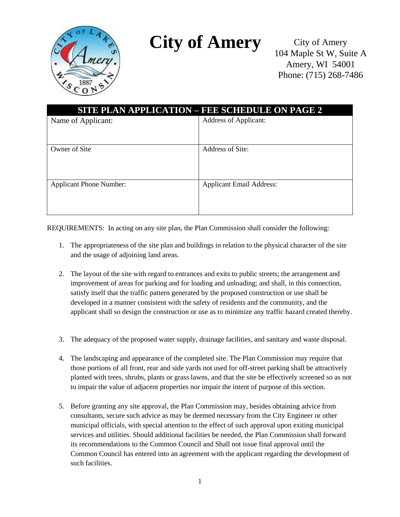

## **City of Amery**

City of Amery 104 Maple St W, Suite A Amery, WI 54001 Phone: (715) 268-7486

| <b>SITE PLAN APPLICATION - FEE SCHEDULE ON PAGE 2</b> |                                 |  |
|-------------------------------------------------------|---------------------------------|--|
| Name of Applicant:                                    | Address of Applicant:           |  |
|                                                       |                                 |  |
| Owner of Site                                         | Address of Site:                |  |
|                                                       |                                 |  |
| <b>Applicant Phone Number:</b>                        | <b>Applicant Email Address:</b> |  |
|                                                       |                                 |  |

REQUIREMENTS: In acting on any site plan, the Plan Commission shall consider the following:

- 1. The appropriateness of the site plan and buildings in relation to the physical character of the site and the usage of adjoining land areas.
- 2. The layout of the site with regard to entrances and exits to public streets; the arrangement and improvement of areas for parking and for loading and unloading; and shall, in this connection, satisfy itself that the traffic pattern generated by the proposed construction or use shall be developed in a manner consistent with the safety of residents and the community, and the applicant shall so design the construction or use as to minimize any traffic hazard created thereby.
- 3. The adequacy of the proposed water supply, drainage facilities, and sanitary and waste disposal.
- 4. The landscaping and appearance of the completed site. The Plan Commission may require that those portions of all front, rear and side yards not used for off-street parking shall be attractively planted with trees, shrubs, plants or grass lawns, and that the site be effectively screened so as not to impair the value of adjacent properties nor impair the intent of purpose of this section.
- 5. Before granting any site approval, the Plan Commission may, besides obtaining advice from consultants, secure such advice as may be deemed necessary from the City Engineer or other municipal officials, with special attention to the effect of such approval upon exiting municipal services and utilities. Should additional facilities be needed, the Plan Commission shall forward its recommendations to the Common Council and Shall not issue final approval until the Common Council has entered into an agreement with the applicant regarding the development of such facilities.